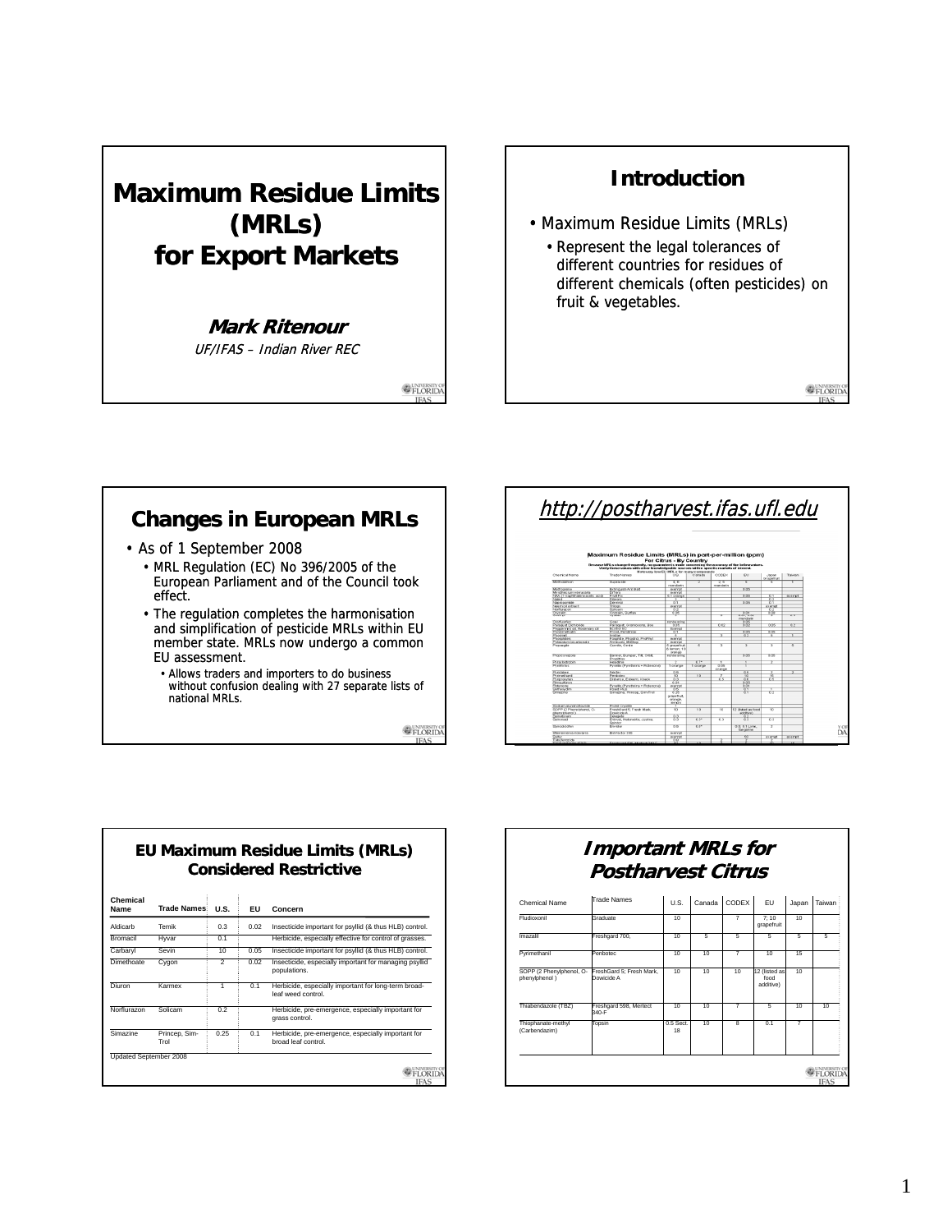## **Maximum Residue Limits (MRLs) for Export Markets**

#### **Mark Ritenour**

UF/IFAS – Indian River REC

E FLORIDA

## **Introduction**

- Maximum Residue Limits (MRLs)
	- Represent the legal tolerances of different countries for residues of different chemicals (often pesticides) on fruit & vegetables.

**E**FLORID

### **Changes in European MRLs**

- As of 1 September 2008
	- MRL Regulation (EC) No 396/2005 of the European Parliament and of the Council took effect.
	- The regulation completes the harmonisation and simplification of pesticide MRLs within EU member state. MRLs now undergo a common EU assessment.
		- Allows traders and importers to do business without confusion dealing with 27 separate lists of national MRLs.

**OFLORIDA** 

# http://postharvest.ifas.ufl.edu

|                                               |                                                                                                                                                                                                | For Citrus - By Country               |                 |                      |                                  |                        |                 |  |
|-----------------------------------------------|------------------------------------------------------------------------------------------------------------------------------------------------------------------------------------------------|---------------------------------------|-----------------|----------------------|----------------------------------|------------------------|-----------------|--|
|                                               | Decame MPL x change frequently, no quarantee is made concerning the accuracy of the below values.<br>Vanify these values with other knowledgeable sources within specific markets of interest. |                                       |                 |                      |                                  |                        |                 |  |
|                                               | Note yery low DU MRLs for many compounds                                                                                                                                                       |                                       |                 |                      |                                  |                        |                 |  |
| <b>Cherrical Name</b>                         | Trade Names                                                                                                                                                                                    | 1.8%                                  | Canada          | CODEX.               | FU.                              | Japan<br>Grapefruit    | Tatent          |  |
| Methidadhion                                  | Stuck ac ide                                                                                                                                                                                   | 4.6<br>manufacto                      |                 | সেব<br>monotoning in | τ                                | ᅐ                      |                 |  |
| Methodeane                                    | Extinguish Art Balt                                                                                                                                                                            | organiz                               |                 |                      | 0.05                             |                        |                 |  |
| Myrothecium yernicaria                        | <b>Cillera</b>                                                                                                                                                                                 | month                                 |                 |                      |                                  |                        |                 |  |
| NAA (1-map/dhaleneacetic acid)                | Foat For                                                                                                                                                                                       | 0.1 orange                            |                 |                      | 0.05                             | $^{0.1}$               | monred          |  |
| Page 4                                        | Dibrom                                                                                                                                                                                         |                                       |                 |                      |                                  | -63                    |                 |  |
| Napropamide                                   | <b>Sevrings</b>                                                                                                                                                                                | 0.1                                   |                 |                      | 0.05                             | 0.1                    |                 |  |
| New most extract                              | mone                                                                                                                                                                                           | exempt                                |                 |                      |                                  | <b><i>autorchi</i></b> |                 |  |
| Northurseon                                   | Solcam                                                                                                                                                                                         | 62                                    |                 |                      |                                  | 75.2                   |                 |  |
| Onrzalin                                      | Ong alm. Surfan                                                                                                                                                                                | 0.05                                  |                 |                      | 0.01                             | ಕಡಿ                    |                 |  |
| <b>Grandon</b>                                | Widship                                                                                                                                                                                        |                                       |                 | τ                    | 0.01 0.02<br>mandarin            |                        | 0.5             |  |
| Onduorien                                     | Goal                                                                                                                                                                                           | nonbearing                            |                 |                      | 0.05                             |                        |                 |  |
| Panegual Dichioride                           | Paragual, Onamorone, Boa.                                                                                                                                                                      | 0.05                                  |                 | 0.02                 | 0.02                             | 0.05                   | 0.7             |  |
| Peppermint oil, Rosemany of                   | Footna FC                                                                                                                                                                                      | <b>Downet</b>                         |                 |                      |                                  |                        |                 |  |
| Days from the sales                           | <b>Prowl</b> Pendimax                                                                                                                                                                          | ত ৰ                                   |                 |                      | 0.05                             | 0.05                   |                 |  |
| Chuseman                                      | imit on                                                                                                                                                                                        | z                                     |                 |                      | 0.2                              | т                      | т               |  |
| <b>Photohitles</b>                            | Faighte, Phastrol, ProFited                                                                                                                                                                    | exerce                                |                 |                      |                                  |                        |                 |  |
| Potassium bioarbonate                         | Amscarb Mill-Son                                                                                                                                                                               | organized                             |                 |                      |                                  |                        |                 |  |
| Propanzite                                    | Combe Ombe                                                                                                                                                                                     | 5 grapefruit<br>& lemon: 10<br>orange | ×               | ×                    | ÷                                | 75                     | x               |  |
| Proceduraz de                                 | Ranner Pursuer Till Orbit<br>PropiMax                                                                                                                                                          | nontearing                            |                 |                      | 0.05                             | 0.05                   |                 |  |
| Period Instruction                            | Here Grup                                                                                                                                                                                      |                                       | 0.75            |                      |                                  | z                      |                 |  |
| Dunghama                                      | Pyrelin (Pyrethring . Robersme)                                                                                                                                                                | 1 orange                              | 1 orange        | 0.08<br>orange       |                                  |                        |                 |  |
| Printaben                                     | häncter                                                                                                                                                                                        | 0.5                                   |                 |                      | 0.5                              |                        |                 |  |
| Duringstilvand.                               | Derkoter                                                                                                                                                                                       | 78                                    | $\overline{10}$ |                      | रह                               | TK.                    |                 |  |
| Pyripegevien                                  | Didance, Exteem, Knack                                                                                                                                                                         | 0.2                                   |                 | 0.5                  | 06                               | 0.5                    |                 |  |
| <b>Planskallunon</b>                          |                                                                                                                                                                                                | 0.01                                  |                 |                      | 0.05                             |                        |                 |  |
| Rittenone                                     | Pyratin (Pyrathrins + Rotenone)                                                                                                                                                                | nonnet                                |                 |                      | 661                              |                        |                 |  |
| Sethow dim                                    | Point Plus                                                                                                                                                                                     | ठंड                                   |                 |                      | ক্ষ                              |                        |                 |  |
| <b>Plema Hindi</b>                            | Simplexe Princen Sim Trid                                                                                                                                                                      | 0.25<br>grape@ut<br>orange<br>lemph   |                 |                      | $\overline{0.1}$                 | ਨੌਤ                    |                 |  |
| South to air membranchi                       | Problet Circuitles                                                                                                                                                                             |                                       |                 |                      |                                  |                        |                 |  |
| SOPP (2 Phenrichano). O-<br>che ou lohano (1) | Frankfolgert 5 - Frank Mark<br>Dovicido A                                                                                                                                                      | 78                                    | 30              | w                    | 12 (linked as fore)<br>addition) | <b>TO</b>              |                 |  |
| Spinetoram                                    | Centerpate                                                                                                                                                                                     | 0.2                                   |                 |                      | 82                               |                        |                 |  |
| Semosad                                       | Entrait, Naturation, Justice,<br>Reinborg                                                                                                                                                      | 89                                    | $0.3^{\circ}$   | $\overline{\alpha}$  | 89                               | 63                     |                 |  |
| Standardstrien                                | Finishing                                                                                                                                                                                      | n <sub>5</sub>                        | 06              |                      | 0.5"0.11.890<br>tangerine        | $\overline{z}$         |                 |  |
| The international distinguish-                | Birl/prize 146                                                                                                                                                                                 | ou cered                              |                 |                      |                                  |                        |                 |  |
| Sutter                                        |                                                                                                                                                                                                | ncemet.                               |                 |                      | ळ                                | monoth                 | monmet          |  |
| ebufenczide                                   |                                                                                                                                                                                                | 66                                    |                 |                      |                                  |                        |                 |  |
| <b>Christophanese (TRC)</b>                   | Englishment SSR, Market 340 F.                                                                                                                                                                 | $\overline{1}$                        | $\overline{10}$ |                      |                                  | $\overline{10}$        | $\overline{10}$ |  |

#### **Chem**<br>**Name Name Trade Names U.S. EU Concern** Aldicarb Temik 0.3 0.02 Insecticide important for psyllid (& thus HLB) control. Hyvar **0.1 Herbicide, especially effective for control of grass** Carbaryl Sevin 10 0.05 Insecticide important for psyllid (& thus HLB) control. **EU Maximum Residue Limits (MRLs) Considered Restrictive** Dimethoate Cygon 2 0.02 Insecticide, especially important for managing psyllid populations. Diuron Karmex 1 1 0.1 Herbicide, especially important for long-term broadleaf weed control. Norflurazon Solicam : 0.2 : Herbicide, pre-emergence, especially important for grass control. Simazir

Updated September 2008

|                       |      |     | leaf weed control.                                                        |
|-----------------------|------|-----|---------------------------------------------------------------------------|
| Solicam               | 0.2  |     | Herbicide, pre-emergence, especially important for<br>grass control.      |
| Princep, Sim-<br>Trol | 0.25 | 0.1 | Herbicide, pre-emergence, especially important for<br>broad leaf control. |
| mber 2008             |      |     |                                                                           |
|                       |      |     |                                                                           |
|                       |      |     | <b>IFAS</b>                                                               |

### **Important MRLs for Postharvest Citrus**

| Chemical Name                             | <b>Trade Names</b>                     | U.S.            | Canada | CODEX          | <b>FU</b>                          | Japan | Taiwan |
|-------------------------------------------|----------------------------------------|-----------------|--------|----------------|------------------------------------|-------|--------|
| Fludioxonil                               | Graduate                               | 10              |        | 7              | 7:10<br>grapefruit                 | 10    |        |
| Imazalil                                  | Freshgard 700,                         | 10              | 5      | 5              | 5.                                 | 5     | 5      |
| Pyrimethanil                              | Penhotec                               | 10              | 10     | 7              | 10                                 | 15    |        |
| SOPP (2 Phenylphenol, O-<br>phenylphenol) | FreshGard 5; Fresh Mark,<br>Dowicide A | 10              | 10     | 10             | 12 (listed as<br>food<br>additive) | 10    |        |
| Thiabendazole (TBZ)                       | Freshgard 598, Mertect<br>340-F        | 10              | 10     | $\overline{7}$ | 5                                  | 10    | 10     |
| Thiophanate-methyl<br>(Carbendazim)       | Topsin                                 | 0.5 Sect.<br>18 | 10     | 8              | 0.1                                | 7     |        |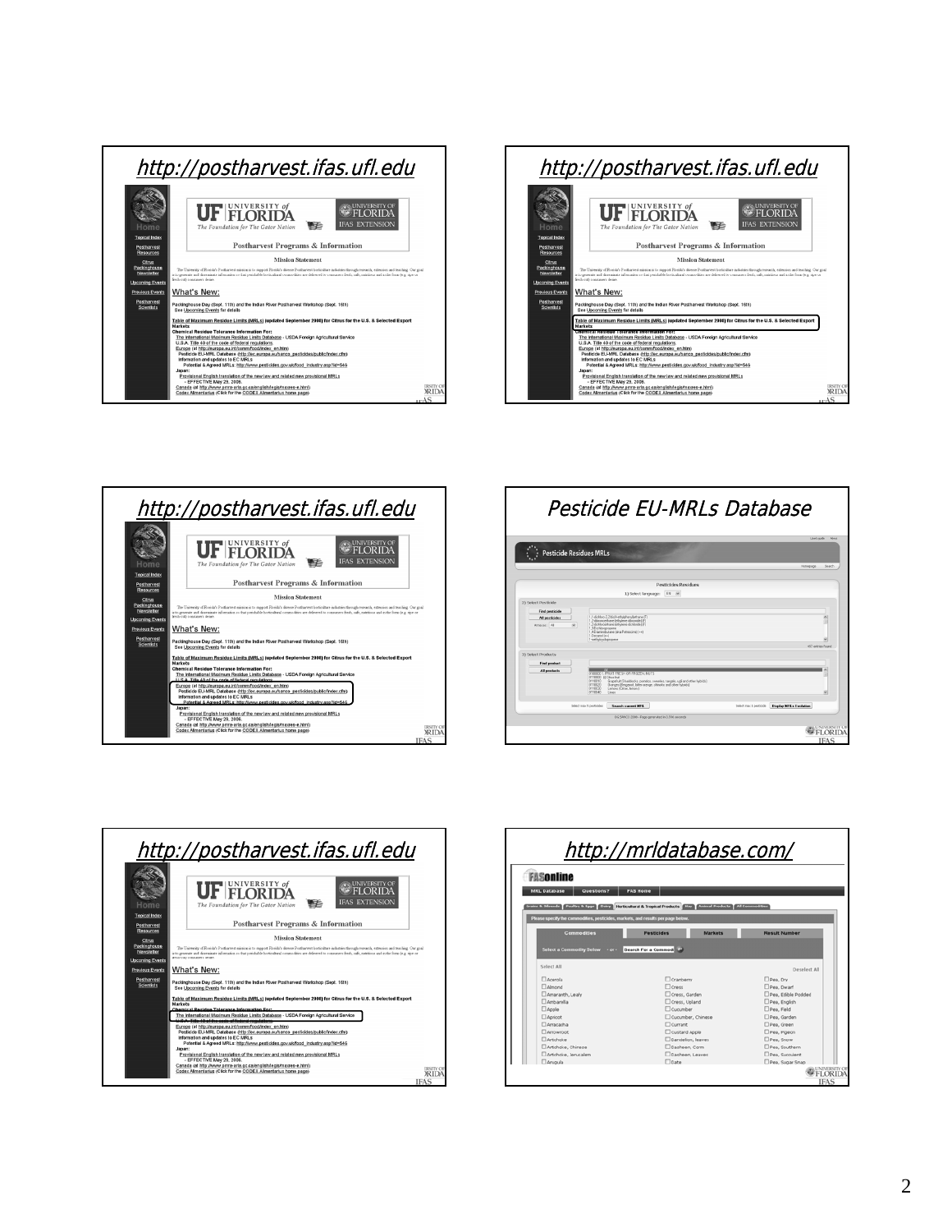